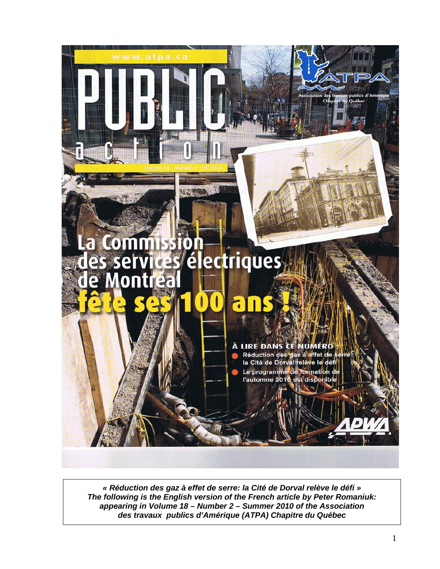

*« Réduction des gaz à effet de serre: la Cité de Dorval relève le défi » The following is the English version of the French article by Peter Romaniuk: appearing in Volume 18 – Number 2 – Summer 2010 of the Association des travaux publics d'Amérique (ATPA) Chapitre du Québec*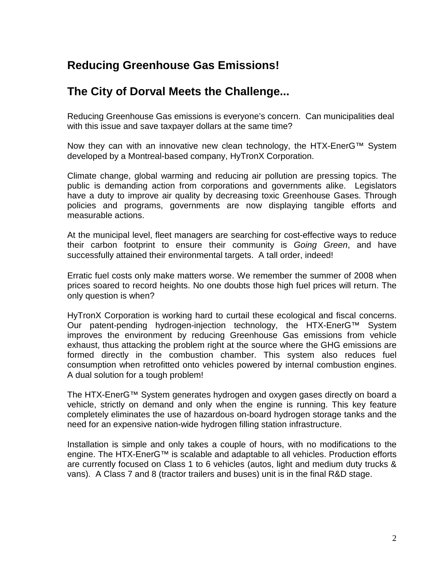## **Reducing Greenhouse Gas Emissions!**

## **The City of Dorval Meets the Challenge...**

Reducing Greenhouse Gas emissions is everyone's concern. Can municipalities deal with this issue and save taxpayer dollars at the same time?

Now they can with an innovative new clean technology, the HTX-EnerG™ System developed by a Montreal-based company, HyTronX Corporation.

Climate change, global warming and reducing air pollution are pressing topics. The public is demanding action from corporations and governments alike. Legislators have a duty to improve air quality by decreasing toxic Greenhouse Gases. Through policies and programs, governments are now displaying tangible efforts and measurable actions.

At the municipal level, fleet managers are searching for cost-effective ways to reduce their carbon footprint to ensure their community is *Going Green*, and have successfully attained their environmental targets. A tall order, indeed!

Erratic fuel costs only make matters worse. We remember the summer of 2008 when prices soared to record heights. No one doubts those high fuel prices will return. The only question is when?

HyTronX Corporation is working hard to curtail these ecological and fiscal concerns. Our patent-pending hydrogen-injection technology, the HTX-EnerG™ System improves the environment by reducing Greenhouse Gas emissions from vehicle exhaust, thus attacking the problem right at the source where the GHG emissions are formed directly in the combustion chamber. This system also reduces fuel consumption when retrofitted onto vehicles powered by internal combustion engines. A dual solution for a tough problem!

The HTX-EnerG™ System generates hydrogen and oxygen gases directly on board a vehicle, strictly on demand and only when the engine is running. This key feature completely eliminates the use of hazardous on-board hydrogen storage tanks and the need for an expensive nation-wide hydrogen filling station infrastructure.

Installation is simple and only takes a couple of hours, with no modifications to the engine. The HTX-EnerG™ is scalable and adaptable to all vehicles. Production efforts are currently focused on Class 1 to 6 vehicles (autos, light and medium duty trucks & vans). A Class 7 and 8 (tractor trailers and buses) unit is in the final R&D stage.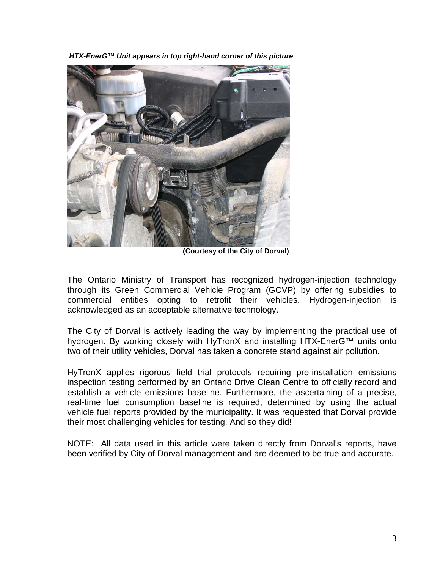*HTX-EnerG™ Unit appears in top right-hand corner of this picture*



 **(Courtesy of the City of Dorval)**

The Ontario Ministry of Transport has recognized hydrogen-injection technology through its Green Commercial Vehicle Program (GCVP) by offering subsidies to commercial entities opting to retrofit their vehicles. Hydrogen-injection is acknowledged as an acceptable alternative technology.

The City of Dorval is actively leading the way by implementing the practical use of hydrogen. By working closely with HyTronX and installing HTX-EnerG™ units onto two of their utility vehicles, Dorval has taken a concrete stand against air pollution.

HyTronX applies rigorous field trial protocols requiring pre-installation emissions inspection testing performed by an Ontario Drive Clean Centre to officially record and establish a vehicle emissions baseline. Furthermore, the ascertaining of a precise, real-time fuel consumption baseline is required, determined by using the actual vehicle fuel reports provided by the municipality. It was requested that Dorval provide their most challenging vehicles for testing. And so they did!

NOTE: All data used in this article were taken directly from Dorval's reports, have been verified by City of Dorval management and are deemed to be true and accurate.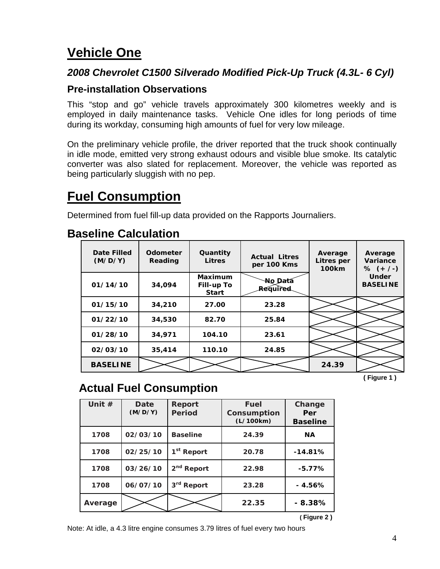## **Vehicle One**

### *2008 Chevrolet C1500 Silverado Modified Pick-Up Truck (4.3L- 6 Cyl)*

#### **Pre-installation Observations**

This "stop and go" vehicle travels approximately 300 kilometres weekly and is employed in daily maintenance tasks. Vehicle One idles for long periods of time during its workday, consuming high amounts of fuel for very low mileage.

On the preliminary vehicle profile, the driver reported that the truck shook continually in idle mode, emitted very strong exhaust odours and visible blue smoke. Its catalytic converter was also slated for replacement. Moreover, the vehicle was reported as being particularly sluggish with no pep.

## **Fuel Consumption**

Determined from fuel fill-up data provided on the Rapports Journaliers.

## **Baseline Calculation**

| Date Filled<br>(M/D/Y) | <b>Odometer</b><br>Reading | Quantity<br><b>Litres</b>                           | <b>Actual Litres</b><br>per 100 Kms | Average<br>Litres per<br><b>100km</b> | Average<br>Variance<br>% $(+/-)$ |
|------------------------|----------------------------|-----------------------------------------------------|-------------------------------------|---------------------------------------|----------------------------------|
| 01/14/10               | 34,094                     | <b>Maximum</b><br><b>Fill-up To</b><br><b>Start</b> | No Data<br>Réquired                 |                                       | <b>Under</b><br><b>BASELINE</b>  |
| 01/15/10               | 34,210                     | 27.00                                               | 23.28                               |                                       |                                  |
| 01/22/10               | 34,530                     | 82.70                                               | 25.84                               |                                       |                                  |
| 01/28/10               | 34,971                     | 104.10                                              | 23.61                               |                                       |                                  |
| 02/03/10               | 35,414                     | 110.10                                              | 24.85                               |                                       |                                  |
| <b>BASELINE</b>        |                            |                                                     |                                     | 24.39                                 |                                  |

 **( Figure 1 )**

## **Actual Fuel Consumption**

| Unit $#$ | Date<br>(M/D/Y) | Report<br><b>Period</b> | <b>Fuel</b><br>Consumption<br>(L/100km) | Change<br>Per<br><b>Baseline</b> |
|----------|-----------------|-------------------------|-----------------------------------------|----------------------------------|
| 1708     | 02/03/10        | <b>Baseline</b>         | 24.39                                   | <b>NA</b>                        |
| 1708     | 02/25/10        | 1 <sup>st</sup> Report  | 20.78                                   | $-14.81%$                        |
| 1708     | 03/26/10        | 2 <sup>nd</sup> Report  | 22.98                                   | $-5.77%$                         |
| 1708     | 06/07/10        | 3rd Report              | 23.28                                   | $-4.56%$                         |
| Average  |                 |                         | 22.35                                   | $-8.38%$                         |
|          |                 |                         |                                         | (Figure 2)                       |

Note: At idle, a 4.3 litre engine consumes 3.79 litres of fuel every two hours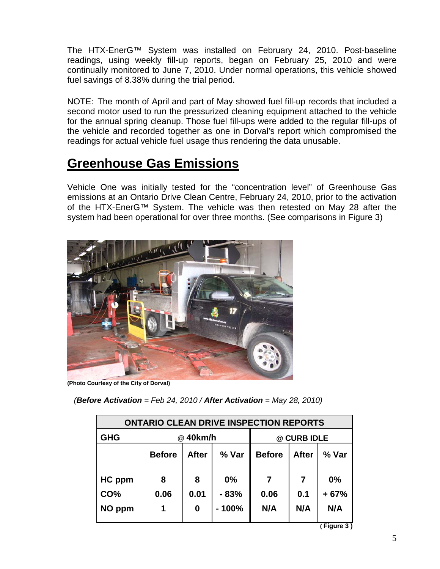The HTX-EnerG™ System was installed on February 24, 2010. Post-baseline readings, using weekly fill-up reports, began on February 25, 2010 and were continually monitored to June 7, 2010. Under normal operations, this vehicle showed fuel savings of 8.38% during the trial period.

NOTE: The month of April and part of May showed fuel fill-up records that included a second motor used to run the pressurized cleaning equipment attached to the vehicle for the annual spring cleanup. Those fuel fill-ups were added to the regular fill-ups of the vehicle and recorded together as one in Dorval's report which compromised the readings for actual vehicle fuel usage thus rendering the data unusable.

## **Greenhouse Gas Emissions**

Vehicle One was initially tested for the "concentration level" of Greenhouse Gas emissions at an Ontario Drive Clean Centre, February 24, 2010, prior to the activation of the HTX-EnerG™ System. The vehicle was then retested on May 28 after the system had been operational for over three months. (See comparisons in Figure 3)



**(Photo Courtesy of the City of Dorval)**

| (Before Activation = Feb 24, 2010 / After Activation = May 28, 2010) |  |  |  |
|----------------------------------------------------------------------|--|--|--|
|----------------------------------------------------------------------|--|--|--|

| <b>ONTARIO CLEAN DRIVE INSPECTION REPORTS</b> |                                        |                |                         |                  |                 |                     |  |  |
|-----------------------------------------------|----------------------------------------|----------------|-------------------------|------------------|-----------------|---------------------|--|--|
| <b>GHG</b>                                    | @40km/h                                |                |                         | @ CURB IDLE      |                 |                     |  |  |
|                                               | % Var<br><b>Before</b><br><b>After</b> |                | <b>Before</b>           | <b>After</b>     | % Var           |                     |  |  |
| HC ppm<br>CO%<br>NO ppm                       | 8<br>0.06                              | 8<br>0.01<br>0 | 0%<br>$-83%$<br>$-100%$ | 7<br>0.06<br>N/A | 7<br>0.1<br>N/A | 0%<br>$+67%$<br>N/A |  |  |

**( Figure 3 )**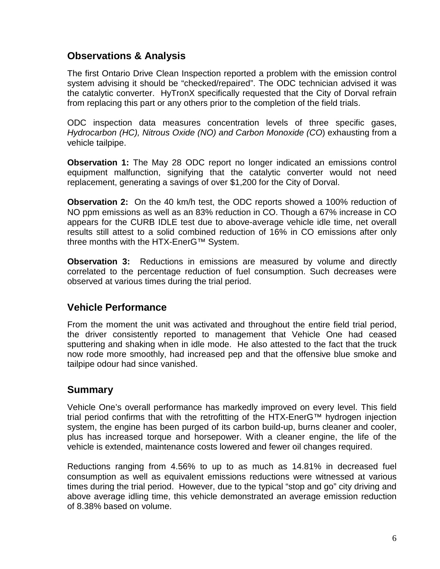#### **Observations & Analysis**

The first Ontario Drive Clean Inspection reported a problem with the emission control system advising it should be "checked/repaired". The ODC technician advised it was the catalytic converter. HyTronX specifically requested that the City of Dorval refrain from replacing this part or any others prior to the completion of the field trials.

ODC inspection data measures concentration levels of three specific gases, *Hydrocarbon (HC), Nitrous Oxide (NO) and Carbon Monoxide (CO*) exhausting from a vehicle tailpipe.

**Observation 1:** The May 28 ODC report no longer indicated an emissions control equipment malfunction, signifying that the catalytic converter would not need replacement, generating a savings of over \$1,200 for the City of Dorval.

**Observation 2:** On the 40 km/h test, the ODC reports showed a 100% reduction of NO ppm emissions as well as an 83% reduction in CO. Though a 67% increase in CO appears for the CURB IDLE test due to above-average vehicle idle time, net overall results still attest to a solid combined reduction of 16% in CO emissions after only three months with the HTX-EnerG™ System.

**Observation 3:** Reductions in emissions are measured by volume and directly correlated to the percentage reduction of fuel consumption. Such decreases were observed at various times during the trial period.

## **Vehicle Performance**

From the moment the unit was activated and throughout the entire field trial period, the driver consistently reported to management that Vehicle One had ceased sputtering and shaking when in idle mode. He also attested to the fact that the truck now rode more smoothly, had increased pep and that the offensive blue smoke and tailpipe odour had since vanished.

#### **Summary**

Vehicle One's overall performance has markedly improved on every level. This field trial period confirms that with the retrofitting of the HTX-EnerG™ hydrogen injection system, the engine has been purged of its carbon build-up, burns cleaner and cooler, plus has increased torque and horsepower. With a cleaner engine, the life of the vehicle is extended, maintenance costs lowered and fewer oil changes required.

Reductions ranging from 4.56% to up to as much as 14.81% in decreased fuel consumption as well as equivalent emissions reductions were witnessed at various times during the trial period. However, due to the typical "stop and go" city driving and above average idling time, this vehicle demonstrated an average emission reduction of 8.38% based on volume.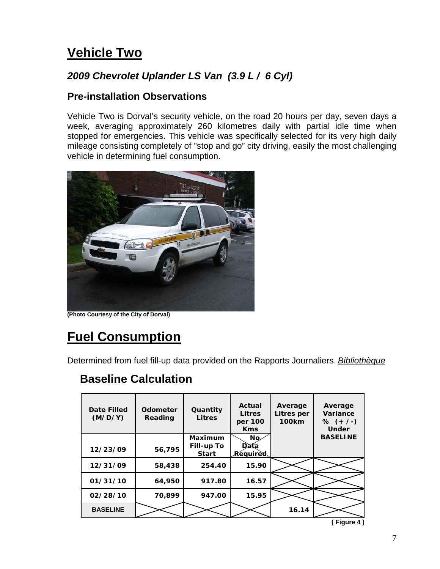## **Vehicle Two**

## *2009 Chevrolet Uplander LS Van (3.9 L / 6 Cyl)*

#### **Pre-installation Observations**

Vehicle Two is Dorval's security vehicle, on the road 20 hours per day, seven days a week, averaging approximately 260 kilometres daily with partial idle time when stopped for emergencies. This vehicle was specifically selected for its very high daily mileage consisting completely of "stop and go" city driving, easily the most challenging vehicle in determining fuel consumption.



**(Photo Courtesy of the City of Dorval)**

# **Fuel Consumption**

Determined from fuel fill-up data provided on the Rapports Journaliers. *Bibliothèque*

## **Baseline Calculation**

| Date Filled<br>(M/D/Y) | <b>Odometer</b><br>Reading | Quantity<br><b>Litres</b>         | Actual<br>Litres<br>per 100<br><b>Kms</b> | Average<br>Litres per<br><b>100km</b> | Average<br>Variance<br>% $(+ / -)$<br><b>Under</b> |
|------------------------|----------------------------|-----------------------------------|-------------------------------------------|---------------------------------------|----------------------------------------------------|
|                        |                            | Maximum                           | No                                        |                                       | <b>BASELINE</b>                                    |
| 12/23/09               | 56,795                     | <b>Fill-up To</b><br><b>Start</b> | Data<br>Required                          |                                       |                                                    |
| 12/31/09               | 58,438                     | 254.40                            | 15.90                                     |                                       |                                                    |
| 01/31/10               | 64,950                     | 917.80                            | 16.57                                     |                                       |                                                    |
| 02/28/10               | 70,899                     | 947.00                            | 15.95                                     |                                       |                                                    |
| <b>BASELINE</b>        |                            |                                   |                                           | 16.14                                 |                                                    |
|                        |                            |                                   |                                           |                                       | Figure 4)                                          |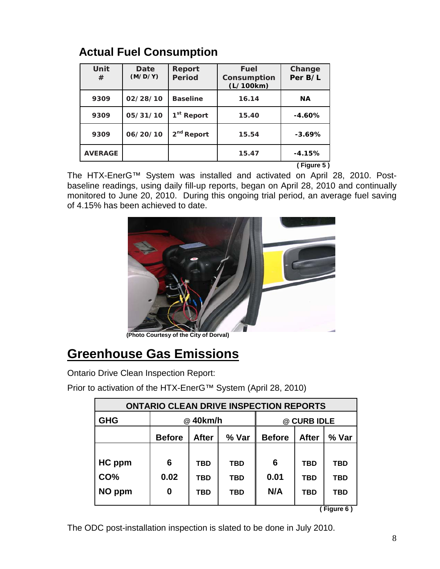| Unit<br>#      | <b>Date</b><br>(M/D/Y) | Report<br><b>Period</b> | <b>Fuel</b><br>Consumption<br>(L/100km) | Change<br>Per B/L |
|----------------|------------------------|-------------------------|-----------------------------------------|-------------------|
| 9309           | 02/28/10               | <b>Baseline</b>         | 16.14                                   | <b>NA</b>         |
| 9309           | 05/31/10               | 1 <sup>st</sup> Report  | 15.40                                   | $-4.60%$          |
| 9309           | 06/20/10               | 2 <sup>nd</sup> Report  | 15.54                                   | $-3.69%$          |
| <b>AVERAGE</b> |                        |                         | 15.47                                   | $-4.15%$          |
|                |                        |                         |                                         | (Figure 5)        |

The HTX-EnerG™ System was installed and activated on April 28, 2010. Postbaseline readings, using daily fill-up reports, began on April 28, 2010 and continually monitored to June 20, 2010. During this ongoing trial period, an average fuel saving of 4.15% has been achieved to date.



## **Greenhouse Gas Emissions**

Ontario Drive Clean Inspection Report:

Prior to activation of the HTX-EnerG™ System (April 28, 2010)

| <b>ONTARIO CLEAN DRIVE INSPECTION REPORTS</b> |               |              |            |               |              |            |  |  |
|-----------------------------------------------|---------------|--------------|------------|---------------|--------------|------------|--|--|
| <b>GHG</b>                                    | @40km/h       |              |            | @ CURB IDLE   |              |            |  |  |
|                                               | <b>Before</b> | <b>After</b> | % Var      | <b>Before</b> | <b>After</b> | % Var      |  |  |
|                                               |               |              |            |               |              |            |  |  |
| HC ppm                                        | 6             | <b>TBD</b>   | <b>TBD</b> | 6             | <b>TBD</b>   | <b>TBD</b> |  |  |
| CO%                                           | 0.02          | <b>TBD</b>   | <b>TBD</b> | 0.01          | <b>TBD</b>   | <b>TBD</b> |  |  |
| NO ppm                                        | 0             | <b>TBD</b>   | <b>TBD</b> | N/A           | <b>TBD</b>   | <b>TBD</b> |  |  |
| $\sqrt{C}$ <i>Auto C</i> $\sqrt{C}$           |               |              |            |               |              |            |  |  |

**( Figure 6 )**

The ODC post-installation inspection is slated to be done in July 2010.